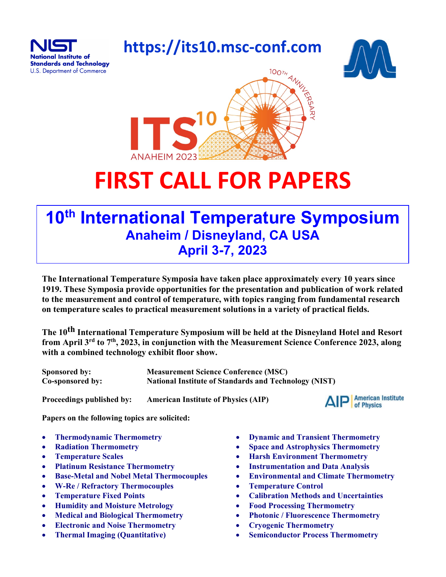





# **FIRST CALL FOR PAPERS**

## **10th International Temperature Symposium Anaheim / Disneyland, CA USA April 3-7, 2023**

**The International Temperature Symposia have taken place approximately every 10 years since 1919. These Symposia provide opportunities for the presentation and publication of work related to the measurement and control of temperature, with topics ranging from fundamental research on temperature scales to practical measurement solutions in a variety of practical fields.** 

**The 10th International Temperature Symposium will be held at the Disneyland Hotel and Resort from April 3rd to 7th, 2023, in conjunction with the Measurement Science Conference 2023, along with a combined technology exhibit floor show.**

| <b>Sponsored by:</b> | <b>Measurement Science Conference (MSC)</b>                  |
|----------------------|--------------------------------------------------------------|
| Co-sponsored by:     | <b>National Institute of Standards and Technology (NIST)</b> |

**Proceedings published by: American Institute of Physics (AIP)** 

**American Institute** 

**Papers on the following topics are solicited:**

- **Thermodynamic Thermometry**
- **Radiation Thermometry**
- **Temperature Scales**
- **Platinum Resistance Thermometry**
- **Base-Metal and Nobel Metal Thermocouples**
- **W-Re / Refractory Thermocouples**
- **Temperature Fixed Points**
- **Humidity and Moisture Metrology**
- **Medical and Biological Thermometry**
- **Electronic and Noise Thermometry**
- **Thermal Imaging (Quantitative)**
- **Dynamic and Transient Thermometry**
- **Space and Astrophysics Thermometry**
- **Harsh Environment Thermometry**
- **Instrumentation and Data Analysis**
- **Environmental and Climate Thermometry**
- **Temperature Control**
- **Calibration Methods and Uncertainties**
- **Food Processing Thermometry**
- **Photonic / Fluorescence Thermometry**
- **Cryogenic Thermometry**
- **Semiconductor Process Thermometry**